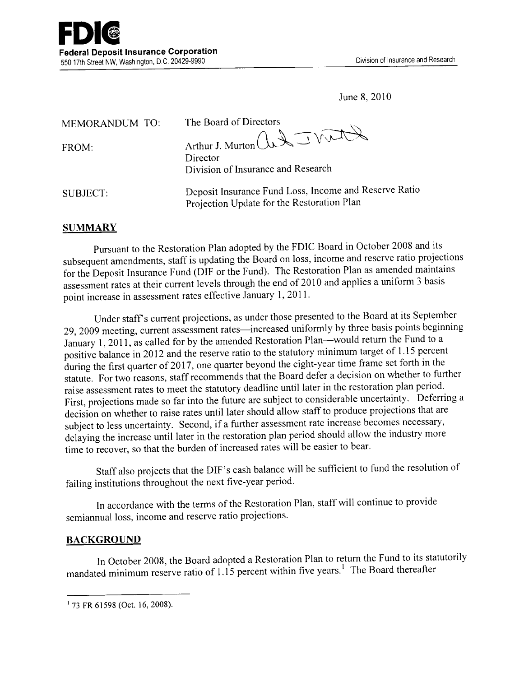

June 8, 2010

| MEMORANDUM TO:  | The Board of Directors                                                                              |
|-----------------|-----------------------------------------------------------------------------------------------------|
| FROM:           | Arthur J. Murton autom<br>Director<br>Division of Insurance and Research                            |
| <b>SUBJECT:</b> | Deposit Insurance Fund Loss, Income and Reserve Ratio<br>Projection Update for the Restoration Plan |

## **SUMMARY**

Pursuant to the Restoration Plan adopted by the FDIC Board in October 2008 and its subsequent amendments, staff is updating the Board on loss, income and reserve ratio projections for the Deposit Insurance Fund (DIF or the Fund). The Restoration Plan as amended maintains assessment rates at their current levels through the end of 2010 and applies a uniform 3 basis point increase in assessment rates effective January 1, 2011.

Under staff's current projections, as under those presented to the Board at its September 29, 2009 meeting, current assessment rates-increased uniformly by three basis points beginning January 1, 2011, as called for by the amended Restoration Plan-would return the Fund to a positive balance in 2012 and the reserve ratio to the statutory minimum target of 1.15 percent during the first quarter of 2017, one quarter beyond the eight-year time frame set forth in the statute. For two reasons, staffrecommends that the Board defer a decision on whether to further raise assessment rates to meet the statutory deadline until later in the restoration plan period. First, projections made so far into the future are subject to considerable uncertainty. Deferring a decision on whether to raise rates until later should allow staff to produce projections that are subject to less uncertainty. Second, if a further assessment rate increase becomes necessary, delaying the increase until later in the restoration plan period should allow the industry more time to recover, so that the burden of increased rates will be easier to bear.

Staff also projects that the DIF's cash balance will be sufficient to fund the resolution of failing institutions throughout the next five-year period.

In accordance with the terms of the Restoration Plan, staff will continue to provide semiannual loss, income and reserve ratio projections.

## **BACKGROUND**

In October 2008, the Board adopted a Restoration Plan to return the Fund to its statutorily mandated minimum reserve ratio of  $1.15$  percent within five years.<sup>1</sup> The Board thereafter

i 73 FR 61598 (Oct. 16,2008).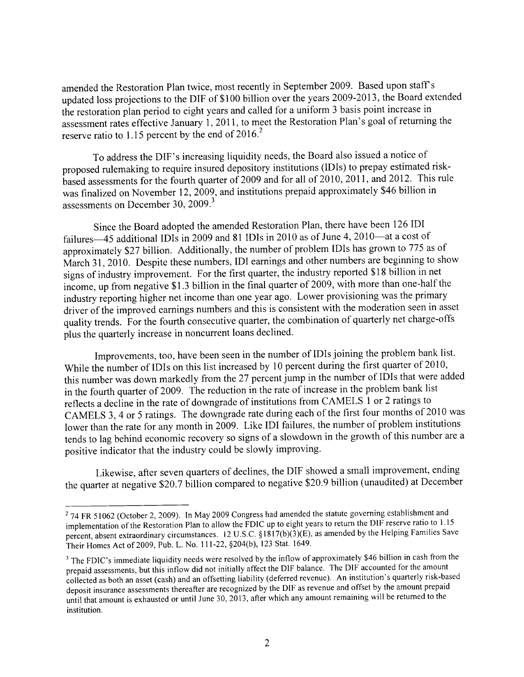amended the Restoration Plan twice, most recently in September 2009. Based upon staffs updated loss projections to the DIF of \$ 1 00 billion over the years 2009-2013, the Board extended the restoration plan period to eight years and called for a uniform 3 basis point increase in assessment rates effective January 1,2011, to meet the Restoration Plan's goal of returning the reserve ratio to 1.15 percent by the end of  $2016$ .<sup>2</sup>

To address the DIF's increasing liquidity needs, the Board also issued a notice of proposed rulemaking to require insured depository institutions (lDIs) to prepay estimated riskbased assessments for the fourth quarter of 2009 and for all of 2010, 2011, and 2012. This rule was finalized on November 12,2009, and institutions prepaid approximately \$46 bilion in assessments on December 30,2009.3

Since the Board adopted the amended Restoration Plan, there have been 126 IDI failures-45 additional IDIs in 2009 and 81 IDIs in 2010 as of June 4, 2010-at a cost of approximately \$27 bilion. Additionally, the number of problem IDIs has grown to 775 as of March 31,2010. Despite these numbers, IDI earnings and other numbers are beginning to show signs of industry improvement. For the first quarter, the industry reported \$18 billion in net income, up from negative \$1.3 billion in the final quarter of 2009, with more than one-half the industry reporting higher net income than one year ago. Lower provisioning was the primary driver of the improved earnings numbers and this is consistent with the moderation seen in asset quality trends. For the fourth consecutive quarter, the combination of quarterly net charge-offs plus the quarterly increase in noncurrent loans declined.

Improvements, too, have been seen in the number of IDIs joining the problem bank list. While the number of IDIs on this list increased by 10 percent during the first quarter of 2010, this number was down markedly from the 27 percent jump in the number of lOIs that were added in the fourth quarter of 2009. The reduction in the rate of increase in the problem bank list reflects a decline in the rate of downgrade of institutions from CAMELS 1 or 2 ratings to CAMELS 3, 4 or 5 ratings. The downgrade rate during each of the first four months of 2010 was lower than the rate for any month in 2009. Like IDI failures, the number of problem institutions tends to lag behind economic recovery so signs of a slowdown in the growth of this number are a positive indicator that the industry could be slowly improving.

Likewise, after seven quarters of declines, the DIF showed a small improvement, ending the quarter at negative \$20.7 billion compared to negative \$20.9 billion (unaudited) at December

<sup>&</sup>lt;sup>2</sup> 74 FR 51062 (October 2, 2009). In May 2009 Congress had amended the statute governing establishment and implementation of the Restoration Plan to allow the FDIC up to eight years to return the DIF reserve ratio to 1.15 percent, absent extraordinary circumstances. 12 U.S.C. §1817(b)(3)(E), as amended by the Helping Families Save Their Homes Act of 2009, Pub. L. No. 111-22, §204(b), 123 Stat. 1649.

<sup>&</sup>lt;sup>3</sup> The FDIC's immediate liquidity needs were resolved by the inflow of approximately \$46 billion in cash from the prepaid assessments, but this inflow did not initially affect the DIF balance. The DIF accounted for the amount collected as both an asset (cash) and an offsetting liability (deferred revenue). An institution's quarterly risk-based deposit insurance assessments thereafter are recognized by the DIF as revenue and offset by the amount prepaid until that amount is exhausted or until June 30, 2013, after which any amount remaining will be returned to the institution.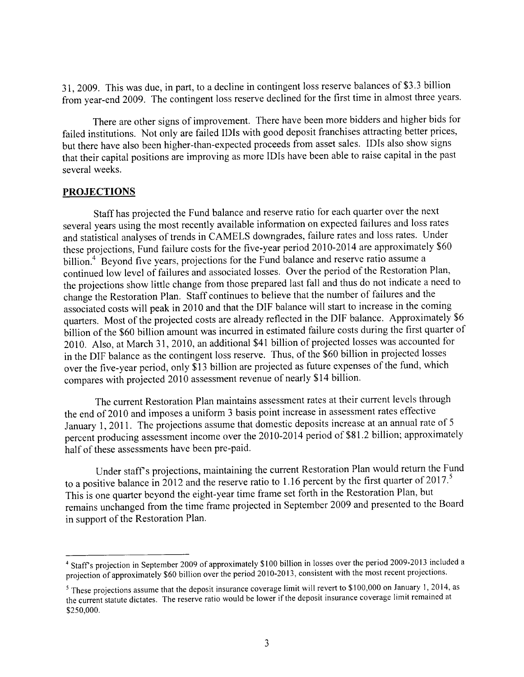31, 2009. This was due, in part, to a decline in contingent loss reserve balances of \$3.3 billion from year-end 2009. The contingent loss reserve declined for the first time in almost three years.

There are other signs of improvement. There have been more bidders and higher bids for failed institutions. Not only are failed IDIs with good deposit franchises attracting better prices, but there have also been higher-than-expected proceeds from asset sales. IDIs also show signs that their capital positions are improving as more IDIs have been able to raise capital in the past several weeks.

## PROJECTIONS

Staff has projected the Fund balance and reserve ratio for each quarter over the next several years using the most recently available information on expected failures and loss rates and statistical analyses of trends in CAMELS downgrades, failure rates and loss rates. Under these projections, Fund failure costs for the five-year period 2010-2014 are approximately \$60 billion.<sup>4</sup> Beyond five years, projections for the Fund balance and reserve ratio assume a continued low level of failures and associated losses. Over the period of the Restoration Plan, the projections show little change from those prepared last fall and thus do not indicate a need to change the Restoration Plan. Staff continues to believe that the number of failures and the associated costs will peak in 2010 and that the DIF balance will start to increase in the coming quarters. Most of the projected costs are already reflected in the DIF balance. Approximately \$6 billion of the \$60 bilion amount was incurred in estimated failure costs during the first quarter of 2010. Also, at March 31, 2010, an additional \$41 billion of projected losses was accounted for in the DIF balance as the contingent loss reserve. Thus, of the \$60 billion in projected losses over the five-year period, only \$13 billion are projected as future expenses of the fund, which compares with projected 2010 assessment revenue of nearly \$14 billion.

The current Restoration Plan maintains assessment rates at their current levels through the end of 2010 and imposes a uniform 3 basis point increase in assessment rates effective January 1, 2011. The projections assume that domestic deposits increase at an annual rate of 5 percent producing assessment income over the 2010-2014 period of \$81.2 billion; approximately half of these assessments have been pre-paid.

Under staff's projections, maintaining the current Restoration Plan would return the Fund to a positive balance in 2012 and the reserve ratio to 1.16 percent by the first quarter of 2017.<sup>5</sup> This is one quarter beyond the eight-year time frame set forth in the Restoration Plan, but remains unchanged from the time frame projected in September 2009 and presented to the Board in support of the Restoration Plan.

<sup>&</sup>lt;sup>4</sup> Staff's projection in September 2009 of approximately \$100 billion in losses over the period 2009-2013 included a projection of approximately \$60 billion over the period 2010-2013, consistent with the most recent projections.

 $<sup>5</sup>$  These projections assume that the deposit insurance coverage limit will revert to \$100,000 on January 1, 2014, as</sup> the current statute dictates. The reserve ratio would be lower if the deposit insurance coverage limit remained at \$250,000.